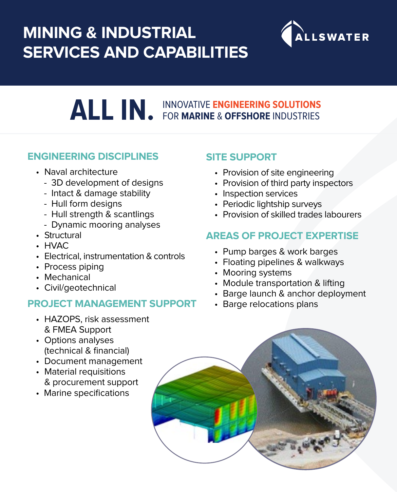## **MINING & INDUSTRIAL SERVICES AND CAPABILITIES**



# **ALL IN.** INNOVATIVE **ENGINEERING SOLUTIONS**  FOR **MARINE** & **OFFSHORE** INDUSTRIES

### **ENGINEERING DISCIPLINES**

- Naval architecture
	- 3D development of designs
	- Intact & damage stability
	- Hull form designs
	- Hull strength & scantlings
	- Dynamic mooring analyses
- Structural
- HVAC
- Electrical, instrumentation & controls
- Process piping
- Mechanical
- Civil/geotechnical

### **PROJECT MANAGEMENT SUPPORT**

- HAZOPS, risk assessment & FMEA Support
- Options analyses (technical & financial)
- Document management
- Material requisitions & procurement support
- Marine specifications

### **SITE SUPPORT**

- Provision of site engineering
- Provision of third party inspectors
- Inspection services
- Periodic lightship surveys
- Provision of skilled trades labourers

### **AREAS OF PROJECT EXPERTISE**

- Pump barges & work barges
- Floating pipelines & walkways
- Mooring systems
- Module transportation & lifting
- Barge launch & anchor deployment
- Barge relocations plans